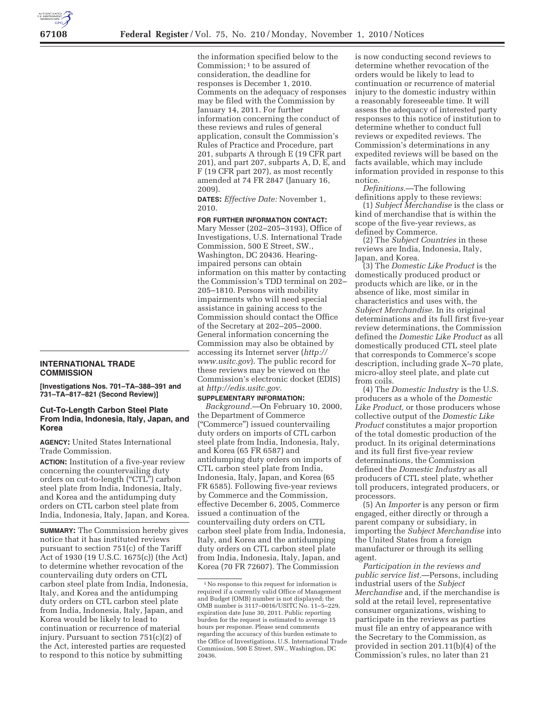## **67108 Federal Register** / Vol. 75, No. 210 / Monday, November 1, 2010 / Notices

**INTERNATIONAL TRADE COMMISSION** 

**[Investigations Nos. 701–TA–388–391 and 731–TA–817–821 (Second Review)]** 

## **Cut-To-Length Carbon Steel Plate From India, Indonesia, Italy, Japan, and Korea**

**AGENCY:** United States International Trade Commission.

**ACTION:** Institution of a five-year review concerning the countervailing duty orders on cut-to-length (''CTL'') carbon steel plate from India, Indonesia, Italy, and Korea and the antidumping duty orders on CTL carbon steel plate from India, Indonesia, Italy, Japan, and Korea.

**SUMMARY:** The Commission hereby gives notice that it has instituted reviews pursuant to section 751(c) of the Tariff Act of 1930 (19 U.S.C. 1675(c)) (the Act) to determine whether revocation of the countervailing duty orders on CTL carbon steel plate from India, Indonesia, Italy, and Korea and the antidumping duty orders on CTL carbon steel plate from India, Indonesia, Italy, Japan, and Korea would be likely to lead to continuation or recurrence of material injury. Pursuant to section 751(c)(2) of the Act, interested parties are requested to respond to this notice by submitting

the information specified below to the Commission; 1 to be assured of consideration, the deadline for responses is December 1, 2010. Comments on the adequacy of responses may be filed with the Commission by January 14, 2011. For further information concerning the conduct of these reviews and rules of general application, consult the Commission's Rules of Practice and Procedure, part 201, subparts A through E (19 CFR part 201), and part 207, subparts A, D, E, and F (19 CFR part 207), as most recently amended at 74 FR 2847 (January 16, 2009).

**DATES:** *Effective Date:* November 1, 2010.

**FOR FURTHER INFORMATION CONTACT:**  Mary Messer (202–205–3193), Office of Investigations, U.S. International Trade Commission, 500 E Street, SW., Washington, DC 20436. Hearingimpaired persons can obtain information on this matter by contacting the Commission's TDD terminal on 202– 205–1810. Persons with mobility impairments who will need special assistance in gaining access to the Commission should contact the Office of the Secretary at 202–205–2000. General information concerning the Commission may also be obtained by accessing its Internet server (*http:// www.usitc.gov*). The public record for these reviews may be viewed on the Commission's electronic docket (EDIS) at *http://edis.usitc.gov.* 

## **SUPPLEMENTARY INFORMATION:**

*Background.*—On February 10, 2000, the Department of Commerce (''Commerce'') issued countervailing duty orders on imports of CTL carbon steel plate from India, Indonesia, Italy, and Korea (65 FR 6587) and antidumping duty orders on imports of CTL carbon steel plate from India, Indonesia, Italy, Japan, and Korea (65 FR 6585). Following five-year reviews by Commerce and the Commission, effective December 6, 2005, Commerce issued a continuation of the countervailing duty orders on CTL carbon steel plate from India, Indonesia, Italy, and Korea and the antidumping duty orders on CTL carbon steel plate from India, Indonesia, Italy, Japan, and Korea (70 FR 72607). The Commission

is now conducting second reviews to determine whether revocation of the orders would be likely to lead to continuation or recurrence of material injury to the domestic industry within a reasonably foreseeable time. It will assess the adequacy of interested party responses to this notice of institution to determine whether to conduct full reviews or expedited reviews. The Commission's determinations in any expedited reviews will be based on the facts available, which may include information provided in response to this notice.

*Definitions.*—The following definitions apply to these reviews:

(1) *Subject Merchandise* is the class or kind of merchandise that is within the scope of the five-year reviews, as defined by Commerce.

(2) The *Subject Countries* in these reviews are India, Indonesia, Italy, Japan, and Korea.

(3) The *Domestic Like Product* is the domestically produced product or products which are like, or in the absence of like, most similar in characteristics and uses with, the *Subject Merchandise.* In its original determinations and its full first five-year review determinations, the Commission defined the *Domestic Like Product* as all domestically produced CTL steel plate that corresponds to Commerce's scope description, including grade X–70 plate, micro-alloy steel plate, and plate cut from coils.

(4) The *Domestic Industry* is the U.S. producers as a whole of the *Domestic Like Product,* or those producers whose collective output of the *Domestic Like Product* constitutes a major proportion of the total domestic production of the product. In its original determinations and its full first five-year review determinations, the Commission defined the *Domestic Industry* as all producers of CTL steel plate, whether toll producers, integrated producers, or processors.

(5) An *Importer* is any person or firm engaged, either directly or through a parent company or subsidiary, in importing the *Subject Merchandise* into the United States from a foreign manufacturer or through its selling agent.

*Participation in the reviews and public service list.*—Persons, including industrial users of the *Subject Merchandise* and, if the merchandise is sold at the retail level, representative consumer organizations, wishing to participate in the reviews as parties must file an entry of appearance with the Secretary to the Commission, as provided in section 201.11(b)(4) of the Commission's rules, no later than 21

<sup>1</sup>No response to this request for information is required if a currently valid Office of Management and Budget (OMB) number is not displayed; the OMB number is 3117–0016/USITC No. 11–5–229, expiration date June 30, 2011. Public reporting burden for the request is estimated to average 15 hours per response. Please send comments regarding the accuracy of this burden estimate to the Office of Investigations, U.S. International Trade Commission, 500 E Street, SW., Washington, DC 20436.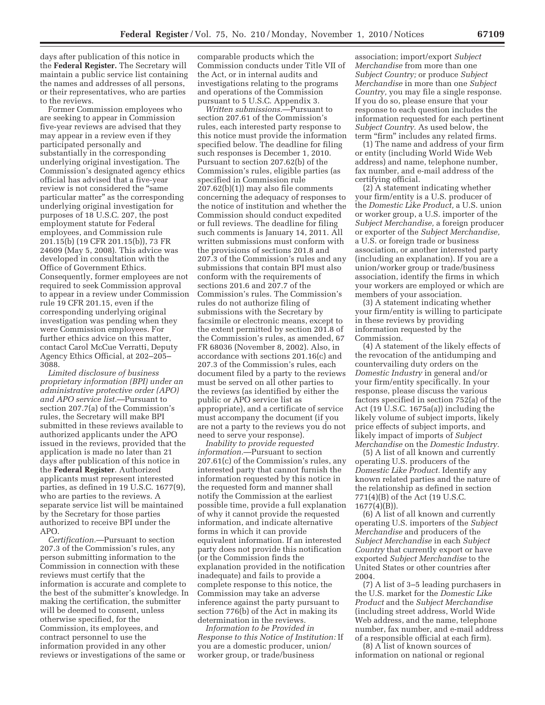days after publication of this notice in the **Federal Register.** The Secretary will maintain a public service list containing the names and addresses of all persons, or their representatives, who are parties to the reviews.

Former Commission employees who are seeking to appear in Commission five-year reviews are advised that they may appear in a review even if they participated personally and substantially in the corresponding underlying original investigation. The Commission's designated agency ethics official has advised that a five-year review is not considered the "same particular matter'' as the corresponding underlying original investigation for purposes of 18 U.S.C. 207, the post employment statute for Federal employees, and Commission rule 201.15(b) (19 CFR 201.15(b)), 73 FR 24609 (May 5, 2008). This advice was developed in consultation with the Office of Government Ethics. Consequently, former employees are not required to seek Commission approval to appear in a review under Commission rule 19 CFR 201.15, even if the corresponding underlying original investigation was pending when they were Commission employees. For further ethics advice on this matter, contact Carol McCue Verratti, Deputy Agency Ethics Official, at 202–205– 3088.

*Limited disclosure of business proprietary information (BPI) under an administrative protective order (APO) and APO service list.*—Pursuant to section 207.7(a) of the Commission's rules, the Secretary will make BPI submitted in these reviews available to authorized applicants under the APO issued in the reviews, provided that the application is made no later than 21 days after publication of this notice in the **Federal Register**. Authorized applicants must represent interested parties, as defined in 19 U.S.C. 1677(9), who are parties to the reviews. A separate service list will be maintained by the Secretary for those parties authorized to receive BPI under the APO.

*Certification.*—Pursuant to section 207.3 of the Commission's rules, any person submitting information to the Commission in connection with these reviews must certify that the information is accurate and complete to the best of the submitter's knowledge. In making the certification, the submitter will be deemed to consent, unless otherwise specified, for the Commission, its employees, and contract personnel to use the information provided in any other reviews or investigations of the same or

comparable products which the Commission conducts under Title VII of the Act, or in internal audits and investigations relating to the programs and operations of the Commission pursuant to 5 U.S.C. Appendix 3.

*Written submissions.*—Pursuant to section 207.61 of the Commission's rules, each interested party response to this notice must provide the information specified below. The deadline for filing such responses is December 1, 2010. Pursuant to section 207.62(b) of the Commission's rules, eligible parties (as specified in Commission rule 207.62(b)(1)) may also file comments concerning the adequacy of responses to the notice of institution and whether the Commission should conduct expedited or full reviews. The deadline for filing such comments is January 14, 2011. All written submissions must conform with the provisions of sections 201.8 and 207.3 of the Commission's rules and any submissions that contain BPI must also conform with the requirements of sections 201.6 and 207.7 of the Commission's rules. The Commission's rules do not authorize filing of submissions with the Secretary by facsimile or electronic means, except to the extent permitted by section 201.8 of the Commission's rules, as amended, 67 FR 68036 (November 8, 2002). Also, in accordance with sections 201.16(c) and 207.3 of the Commission's rules, each document filed by a party to the reviews must be served on all other parties to the reviews (as identified by either the public or APO service list as appropriate), and a certificate of service must accompany the document (if you are not a party to the reviews you do not need to serve your response).

*Inability to provide requested information.*—Pursuant to section 207.61(c) of the Commission's rules, any interested party that cannot furnish the information requested by this notice in the requested form and manner shall notify the Commission at the earliest possible time, provide a full explanation of why it cannot provide the requested information, and indicate alternative forms in which it can provide equivalent information. If an interested party does not provide this notification (or the Commission finds the explanation provided in the notification inadequate) and fails to provide a complete response to this notice, the Commission may take an adverse inference against the party pursuant to section 776(b) of the Act in making its determination in the reviews.

*Information to be Provided in Response to this Notice of Institution:* If you are a domestic producer, union/ worker group, or trade/business

association; import/export *Subject Merchandise* from more than one *Subject Country;* or produce *Subject Merchandise* in more than one *Subject Country,* you may file a single response. If you do so, please ensure that your response to each question includes the information requested for each pertinent *Subject Country.* As used below, the term "firm" includes any related firms.

(1) The name and address of your firm or entity (including World Wide Web address) and name, telephone number, fax number, and e-mail address of the certifying official.

(2) A statement indicating whether your firm/entity is a U.S. producer of the *Domestic Like Product,* a U.S. union or worker group, a U.S. importer of the *Subject Merchandise,* a foreign producer or exporter of the *Subject Merchandise,*  a U.S. or foreign trade or business association, or another interested party (including an explanation). If you are a union/worker group or trade/business association, identify the firms in which your workers are employed or which are members of your association.

(3) A statement indicating whether your firm/entity is willing to participate in these reviews by providing information requested by the Commission.

(4) A statement of the likely effects of the revocation of the antidumping and countervailing duty orders on the *Domestic Industry* in general and/or your firm/entity specifically. In your response, please discuss the various factors specified in section 752(a) of the Act (19 U.S.C. 1675a(a)) including the likely volume of subject imports, likely price effects of subject imports, and likely impact of imports of *Subject Merchandise* on the *Domestic Industry.* 

(5) A list of all known and currently operating U.S. producers of the *Domestic Like Product.* Identify any known related parties and the nature of the relationship as defined in section 771(4)(B) of the Act (19 U.S.C. 1677(4)(B)).

(6) A list of all known and currently operating U.S. importers of the *Subject Merchandise* and producers of the *Subject Merchandise* in each *Subject Country* that currently export or have exported *Subject Merchandise* to the United States or other countries after 2004.

(7) A list of 3–5 leading purchasers in the U.S. market for the *Domestic Like Product* and the *Subject Merchandise*  (including street address, World Wide Web address, and the name, telephone number, fax number, and e-mail address of a responsible official at each firm).

(8) A list of known sources of information on national or regional